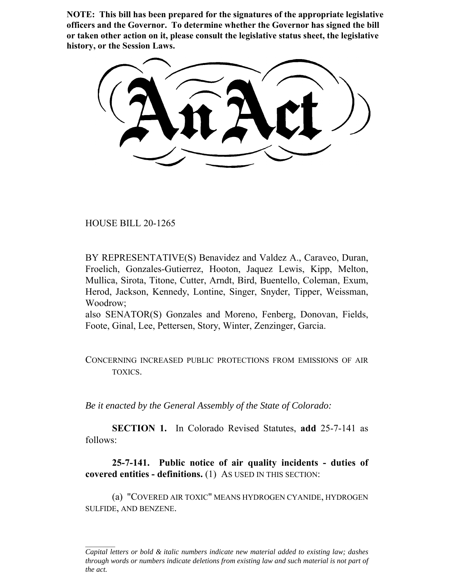**NOTE: This bill has been prepared for the signatures of the appropriate legislative officers and the Governor. To determine whether the Governor has signed the bill or taken other action on it, please consult the legislative status sheet, the legislative history, or the Session Laws.**

HOUSE BILL 20-1265

BY REPRESENTATIVE(S) Benavidez and Valdez A., Caraveo, Duran, Froelich, Gonzales-Gutierrez, Hooton, Jaquez Lewis, Kipp, Melton, Mullica, Sirota, Titone, Cutter, Arndt, Bird, Buentello, Coleman, Exum, Herod, Jackson, Kennedy, Lontine, Singer, Snyder, Tipper, Weissman, Woodrow;

also SENATOR(S) Gonzales and Moreno, Fenberg, Donovan, Fields, Foote, Ginal, Lee, Pettersen, Story, Winter, Zenzinger, Garcia.

CONCERNING INCREASED PUBLIC PROTECTIONS FROM EMISSIONS OF AIR TOXICS.

*Be it enacted by the General Assembly of the State of Colorado:*

**SECTION 1.** In Colorado Revised Statutes, **add** 25-7-141 as follows:

**25-7-141. Public notice of air quality incidents - duties of covered entities - definitions.** (1) AS USED IN THIS SECTION:

(a) "COVERED AIR TOXIC" MEANS HYDROGEN CYANIDE, HYDROGEN SULFIDE, AND BENZENE.

*Capital letters or bold & italic numbers indicate new material added to existing law; dashes through words or numbers indicate deletions from existing law and such material is not part of the act.*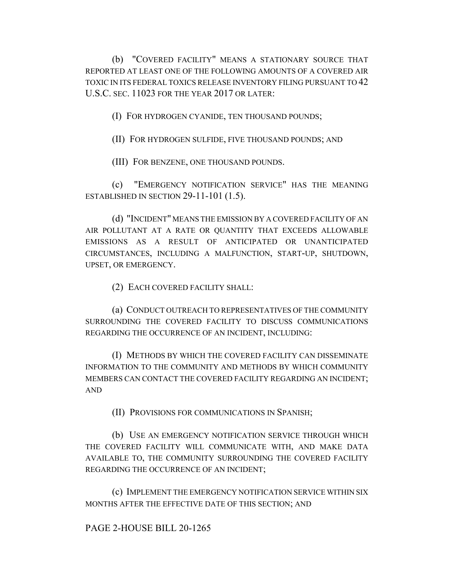(b) "COVERED FACILITY" MEANS A STATIONARY SOURCE THAT REPORTED AT LEAST ONE OF THE FOLLOWING AMOUNTS OF A COVERED AIR TOXIC IN ITS FEDERAL TOXICS RELEASE INVENTORY FILING PURSUANT TO 42 U.S.C. SEC. 11023 FOR THE YEAR 2017 OR LATER:

(I) FOR HYDROGEN CYANIDE, TEN THOUSAND POUNDS;

(II) FOR HYDROGEN SULFIDE, FIVE THOUSAND POUNDS; AND

(III) FOR BENZENE, ONE THOUSAND POUNDS.

(c) "EMERGENCY NOTIFICATION SERVICE" HAS THE MEANING ESTABLISHED IN SECTION 29-11-101 (1.5).

(d) "INCIDENT" MEANS THE EMISSION BY A COVERED FACILITY OF AN AIR POLLUTANT AT A RATE OR QUANTITY THAT EXCEEDS ALLOWABLE EMISSIONS AS A RESULT OF ANTICIPATED OR UNANTICIPATED CIRCUMSTANCES, INCLUDING A MALFUNCTION, START-UP, SHUTDOWN, UPSET, OR EMERGENCY.

(2) EACH COVERED FACILITY SHALL:

(a) CONDUCT OUTREACH TO REPRESENTATIVES OF THE COMMUNITY SURROUNDING THE COVERED FACILITY TO DISCUSS COMMUNICATIONS REGARDING THE OCCURRENCE OF AN INCIDENT, INCLUDING:

(I) METHODS BY WHICH THE COVERED FACILITY CAN DISSEMINATE INFORMATION TO THE COMMUNITY AND METHODS BY WHICH COMMUNITY MEMBERS CAN CONTACT THE COVERED FACILITY REGARDING AN INCIDENT; AND

(II) PROVISIONS FOR COMMUNICATIONS IN SPANISH;

(b) USE AN EMERGENCY NOTIFICATION SERVICE THROUGH WHICH THE COVERED FACILITY WILL COMMUNICATE WITH, AND MAKE DATA AVAILABLE TO, THE COMMUNITY SURROUNDING THE COVERED FACILITY REGARDING THE OCCURRENCE OF AN INCIDENT;

(c) IMPLEMENT THE EMERGENCY NOTIFICATION SERVICE WITHIN SIX MONTHS AFTER THE EFFECTIVE DATE OF THIS SECTION; AND

PAGE 2-HOUSE BILL 20-1265